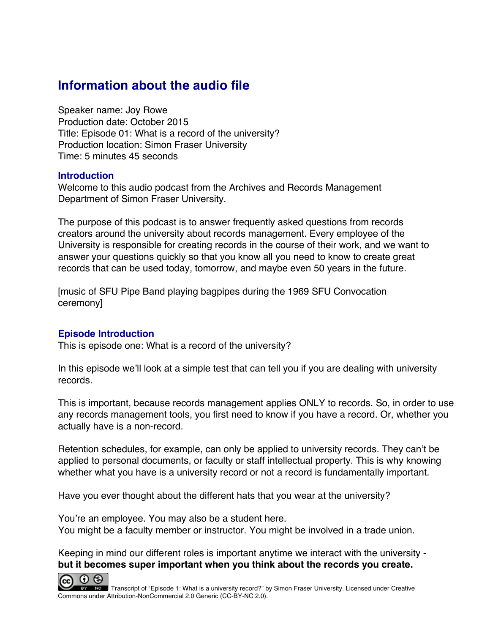# **Information about the audio file**

Speaker name: Joy Rowe Production date: October 2015 Title: Episode 01: What is a record of the university? Production location: Simon Fraser University Time: 5 minutes 45 seconds

#### **Introduction**

Welcome to this audio podcast from the Archives and Records Management Department of Simon Fraser University.

The purpose of this podcast is to answer frequently asked questions from records creators around the university about records management. Every employee of the University is responsible for creating records in the course of their work, and we want to answer your questions quickly so that you know all you need to know to create great records that can be used today, tomorrow, and maybe even 50 years in the future.

[music of SFU Pipe Band playing bagpipes during the 1969 SFU Convocation ceremony]

### **Episode Introduction**

This is episode one: What is a record of the university?

In this episode we'll look at a simple test that can tell you if you are dealing with university records.

This is important, because records management applies ONLY to records. So, in order to use any records management tools, you first need to know if you have a record. Or, whether you actually have is a non-record.

Retention schedules, for example, can only be applied to university records. They can't be applied to personal documents, or faculty or staff intellectual property. This is why knowing whether what you have is a university record or not a record is fundamentally important.

Have you ever thought about the different hats that you wear at the university?

You're an employee. You may also be a student here. You might be a faculty member or instructor. You might be involved in a trade union.

Keeping in mind our different roles is important anytime we interact with the university **but it becomes super important when you think about the records you create.**

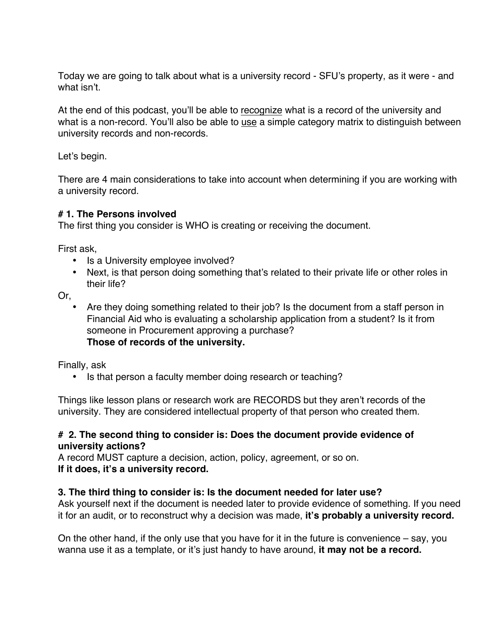Today we are going to talk about what is a university record - SFU's property, as it were - and what isn't.

At the end of this podcast, you'll be able to recognize what is a record of the university and what is a non-record. You'll also be able to use a simple category matrix to distinguish between university records and non-records.

Let's begin.

There are 4 main considerations to take into account when determining if you are working with a university record.

## **# 1. The Persons involved**

The first thing you consider is WHO is creating or receiving the document.

First ask,

- Is a University employee involved?
- Next, is that person doing something that's related to their private life or other roles in their life?

Or,

• Are they doing something related to their job? Is the document from a staff person in Financial Aid who is evaluating a scholarship application from a student? Is it from someone in Procurement approving a purchase? **Those of records of the university.**

Finally, ask

• Is that person a faculty member doing research or teaching?

Things like lesson plans or research work are RECORDS but they aren't records of the university. They are considered intellectual property of that person who created them.

## **# 2. The second thing to consider is: Does the document provide evidence of university actions?**

A record MUST capture a decision, action, policy, agreement, or so on. **If it does, it's a university record.**

# **3. The third thing to consider is: Is the document needed for later use?**

Ask yourself next if the document is needed later to provide evidence of something. If you need it for an audit, or to reconstruct why a decision was made, **it's probably a university record.**

On the other hand, if the only use that you have for it in the future is convenience – say, you wanna use it as a template, or it's just handy to have around, **it may not be a record.**